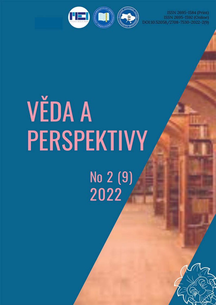ISSN 2695-1584 (Print) ISSN 2695-1592 (Online)<br>DOI:10.52058/2708-7530-2022-2(9)



# **VĚDA A** PERSPEKTIVY No 2 (9)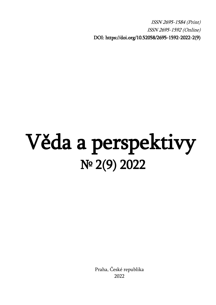ISSN 2695-1584 (Print) ISSN 2695-1592 (Online) DOI: [https://doi.org/10.52058/2](https://doi.org/10.52058/)695-1592-2022-2(9)

## Věda a perspektivy № 2(9) 2022

 Praha, České republika 2022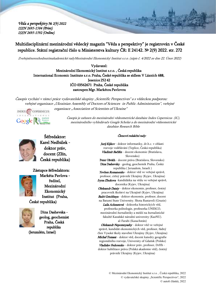#### Multidisciplinární mezinárodní vědecký magazín "Věda a perspektivy" je registrován v České republice. Státní registrační číslo u Ministerstva kultury ČR: E 24142. № 2(9) 2022. str. 272

Zveřejněnorozhodnutímakademické radyMezinárodní Ekonomický Institut s.r.o. (zápis č. 4/2022 ze dne 22. Únor 2022)

Vydavatel: Mezinárodní Ekonomický Institut s.r.o. , Česká republika International Economic Institute s.r.o. Praha, České republika se sídlem V Lázních 688, Jesenice 252 42 IČO 03562671 Praha, České republika zastoupen Mgr. Markétou Pavlovou

Časopis vychází v rámci práce vydavatelské skupiny "Scientific Perspectives" a s vědeckou podporou: veřejné organizace "Ukrainian Assembly of Doctors of Sciences in Public Administration", veřejné organizace "Association of Scientists of Ukraine"



Časopis je zařazen do mezinárodní vědeometrické databáze Index Copernicus (IC), mezinárodního vyhledávače Google Scholar a do mezinárodní vědeometrické databáze Research Bible



Šéfredaktor: Karel Nedbálek doktor práv, docent (Zlín, Česká republika)



Markéta Pavlova ředitel, Mezinárodní Ekonomický Institut (Praha, České republika)

Zástupce šéfredaktora:



Dina Dashevska geolog, geochemist Praha, Česká republika (Jeruzalém, Izrael)

#### Členové redakční rady:

Jurij Kijkov - doktor informatiky, dr.h.c. v oblasti rozvoje vzdělávání (Teplice, Česká republika) Vladimír Bačišin - docent ekonomie (Bratislava, Slovensko) Peter Ošváth - docent práva (Bratislava, Slovensko) Dina Dashevsky - geolog, geochemik Praha, Česká republika ( Jerusalem, Israeli ) Yevhen Romanenko - doktor věd ve veřejné správě, profesor, ctěný právník Ukrajiny (Kyjev, Ukrajina) Iryna Zhukova -kandidátka na vědu ve veřejné správě, docentka (Kyjev, Ukrajina) Oleksandr Datsiy - doktor ekonomie, profesor, čestný pracovník školství na Ukrajině (Kyjev, Ukrajina) Badri Getchbaya - doktor ekonomie, profesor, docent na Batumi State University. Shota Rustaveli (Gruzie) Laila Achmetová - doktorka historických věd, profesorka politologie, profesorka UNESCO, mezinárodní žurnalistiky a médií na žurnalistické fakultě Kazašské národní univerzity (KazNU). al-Farabi (Kazachstán) Oleksandr Nepomnyashy - doktor věd ve veřejné správě, kandidát ekonomických věd, profesor, řádný člen Vysoké školy stavební Ukrajiny (Kyjev, Ukrajina) Michał Tomasz - doktor věd, docent katedry geografie regionálního rozvoje, University of Gdańsk (Polsko)

Vladislav Fedorenko - doktor práv, profesor, DrHb doktor habilitace práva (Polská akademie věd), čestný právník Ukrajiny (Kyjev, Ukrajina)

> © Mezinárodní Ekonomický Institut s.r.o. , Česká republika, 2022 © vydavatelské skupiny "Scientific Perspectives", 2022 © autoři článků, 2022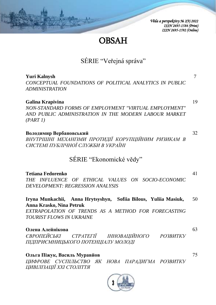## **OBSAH**

## SÉRIE "Veřejná správa"

#### **Yuri Kalnysh**

*CONCEPTUAL FOUNDATIONS OF POLITICAL ANALYTICS IN PUBLIC ADMINISTRATION* 

#### **Galina Krapivina**

*NON-STANDARD FORMS OF EMPLOYMENT "VIRTUAL EMPLOYMENT" AND PUBLIC ADMINISTRATION IN THE MODERN LABOUR MARKET (PART 1)* 

**Володимир Вербановський** *ВНУТРІШНІ МЕХАНІЗМИ ПРОТИДІЇ КОРУПЦІЙНИМ РИЗИКАМ В СИСТЕМІ ПУБЛІЧНОЇ СЛУЖБИ В УКРАЇНІ*

## SÉRIE "Ekonomické vědy"

#### **Tetiana Fedorenko**

*THE INFLUENCE OF ETHICAL VALUES ON SOCIO-ECONOMIC DEVELOPMENT: REGRESSION ANALYSIS* 

#### 50 **Iryna Munkachii, Anna Hrytsyshyn, Sofiia Bilous, Yuliia Masiuk, Anna Krasko, Nina Petruk**

*EXTRAPOLATION OF TRENDS AS A METHOD FOR FORECASTING TOURIST FLOWS IN UKRAINE* 

#### **Олена Алейнікова**

*ЄВРОПЕЙСЬКІ СТРАТЕГІЇ ІННОВАЦІЙНОГО РОЗВИТКУ ПІДПРИЄМНИЦЬКОГО ПОТЕНЦІАЛУ МОЛОДІ*

#### **Ольга Піжук, Василь Муравйов**

*ЦИФРОВЕ СУСПІЛЬСТВО ЯК НОВА ПАРАДИГМА РОЗВИТКУ ЦИВІЛІЗАЦІЇ ХХІ СТОЛІТТЯ*



19

7

32

41

63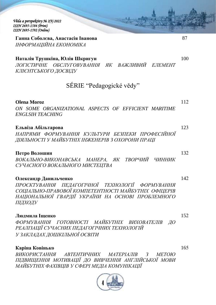**Ганна Соболєва, Анастасія Іванова** *ІНФОРМАЦІЙНА ЕКОНОМІКА*

#### **Наталія Трушкіна, Юлія Шкригун**

*ЛОГІСТИЧНЕ ОБСЛУГОВУВАННЯ ЯК ВАЖЛИВИЙ ЕЛЕМЕНТ КЛІЄНТСЬКОГО ДОСВІДУ*

## SÉRIE "Pedagogické vědy"

#### **Olena Moroz**

*ON SOME ORGANIZATIONAL ASPECTS OF EFFICIENT MARITIME ENGLSIH TEACHING* 

#### **Ельвіза Абільтарова**

*НАПРЯМИ ФОРМУВАННЯ КУЛЬТУРИ БЕЗПЕКИ ПРОФЕСІЙНОЇ ДІЯЛЬНОСТІ У МАЙБУТНІХ ІНЖЕНЕРІВ З ОХОРОНИ ПРАЦІ*

#### **Петро Волошин**

*ВОКАЛЬНО-ВИКОНАВСЬКА МАНЕРА, ЯК ТВОРЧИЙ ЧИННИК СУЧАСНОГО ВОКАЛЬНОГО МИСТЕЦТВА*

#### **Олександр Данильченко**

*ПРОЄКТУВАННЯ ПЕДАГОГІЧНОЇ ТЕХНОЛОГІЇ ФОРМУВАННЯ СОЦІАЛЬНО-ПРАВОВОЇ КОМПЕТЕНТНОСТІ МАЙБУТНІХ ОФІЦЕРІВ НАЦІОНАЛЬНОЇ ГВАРДІЇ УКРАЇНИ НА ОСНОВІ ПРОБЛЕМНОГО ПІДХОДУ*

#### **Людмила Іщенко**

*ФОРМУВАННЯ ГОТОВНОСТІ МАЙБУТНІХ ВИХОВАТЕЛІВ ДО РЕАЛІЗАЦІЇ СУЧАСНИХ ПЕДАГОГІЧНИХ ТЕХНОЛОГІЙ У ЗАКЛАДАХ ДОШКІЛЬНОЇ ОСВІТИ*

#### **Каріна Ковінько**

*ВИКОРИСТАННЯ АВТЕНТИЧНИХ МАТЕРІАЛІВ З МЕТОЮ ПІДВИЩЕННЯ МОТИВАЦІЇ ДО ВИВЧЕННЯ АНГЛІЙСЬКОЇ МОВИ МАЙБУТНІХ ФАХІВЦІВ У СФЕРІ МЕДІА КОМУНІКАЦІЇ*



87

100

112

123

132

142

165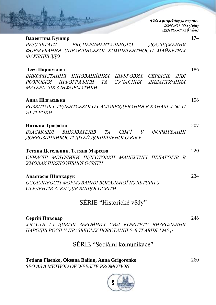| Věda a perspektivy № 2(9) 2022 |
|--------------------------------|
| ISSN 2695-1584 (Print)         |
| ISSN 2695-1592 (Online)        |

| Валентина Кушнір<br>174                                                                                           |  |
|-------------------------------------------------------------------------------------------------------------------|--|
| РЕЗУЛЬТАТИ<br>ЕКСПЕРИМЕНТАЛЬНОГО<br>ДОСЛІДЖЕННЯ<br>ФОРМУВАННЯ УПРАВЛІНСЬКОЇ КОМПЕТЕНТНОСТІ МАЙБУТНІХ              |  |
| ФАХІВЦІВ ЗДО                                                                                                      |  |
| 186<br>Леся Паршукова                                                                                             |  |
| ВИКОРИСТАННЯ ІННОВАЦІЙНИХ ЦИФРОВИХ СЕРВІСІВ ДЛЯ<br>СУЧАСНИХ ДИДАКТИЧНИХ<br>РОЗРОБКИ ІНФОГРАФІКИ<br>TA             |  |
| МАТЕРІАЛІВ З ІНФОРМАТИКИ                                                                                          |  |
| 196<br>Анна Підгаєцька                                                                                            |  |
| РОЗВИТОК СТУДЕНТСЬКОГО САМОВРЯДУВАННЯ В КАНАДІ У 60-ТІ<br>70-TI POKU                                              |  |
|                                                                                                                   |  |
| 207<br>Наталія Трофаїла                                                                                           |  |
| ВЗАЄМОДІЯ ВИХОВАТЕЛІВ ТА<br>CIM'<br>$\overline{V}$<br><b>ФОРМУВАННІ</b><br>ДОБРОЗИЧЛИВОСТІ ДІТЕЙ ДОШКІЛЬНОГО ВІКУ |  |
| Тетяна Цегельник, Тетяна Марссва<br>220                                                                           |  |
| СУЧАСНІ МЕТОДИКИ ПІДГОТОВКИ МАЙБУТНІХ ПЕДАГОГІВ<br>УМОВАХ ІНКЛЮЗИВНОЇ ОСВІТИ                                      |  |
|                                                                                                                   |  |
| 234<br>Анастасія Шинкарук                                                                                         |  |
| ОСОБЛИВОСТІ ФОРМУВАННЯ ВОКАЛЬНОЇ КУЛЬТУРИ У<br>СТУДЕНТІВ ЗАКЛАДІВ ВИЩОЇ ОСВІТИ                                    |  |

## SÉRIE "Historické vědy"

#### **Сергій Пивовар**

*УЧАСТЬ 1-ї ДИВІЗІЇ ЗБРОЙНИХ СИЛ КОМІТЕТУ ВИЗВОЛЕННЯ НАРОДІВ РОСІЇ У ПРАЗЬКОМУ ПОВСТАННІ 5–8 ТРАВНЯ 1945 р.*

## SÉRIE "Sociální komunikace"

**Tetiana Fisenko, Oksana Baliun, Anna Grigorenko** *SEO AS A METHOD OF WEBSITE PROMOTION*



260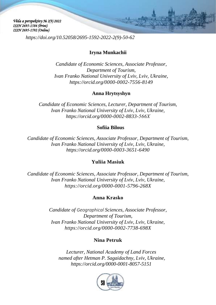*[https://doi.org/10.52058/2695-1592-2022-2\(9\)-5](https://doi.org/10.52058/2695-1592-2022-2(9)-)0-62*

#### **Iryna Munkachii**

*Candidate of Economic Sciences, Associate Professor, Department of Tourism, Ivan Franko National University of Lviv, Lviv, Ukraine, <https://orcid.org/0000-0002-7556-8149>*

#### **Anna Hrytsyshyn**

*Candidate of Economic Sciences, Lecturer, Department of Tourism, Ivan Franko National University of Lviv, Lviv, Ukraine, [https://orcid.org/0000-0002-8833-](https://orcid.org/0000-0002-8833-566Х)566Х*

#### **Sofiia Bilous**

*Candidate of Economic Sciences, Associate Professor, Department of Tourism, Ivan Franko National University of Lviv, Lviv, Ukraine, <https://orcid.org/0000-0003-3651-6490>*

#### **Yuliia Masiuk**

*Candidate of Economic Sciences, Associate Professor, Department of Tourism, Ivan Franko National University of Lviv, Lviv, Ukraine, <https://orcid.org/0000-0001-5796-268X>*

#### **Anna Krasko**

*Candidate of Geographical Sciences, Associate Professor, Department of Tourism, Ivan Franko National University of Lviv, Lviv, Ukraine, <https://orcid.org/0000-0002-7738-698X>*

#### **Nina Petruk**

*Lecturer, National Academy of Land Forces named after Hetman P. Sagaidachny, Lviv, Ukraine, [https://orcid.org/0](https://orcid.org/0000-0002-7738-698X)000-0001-8057-5151*

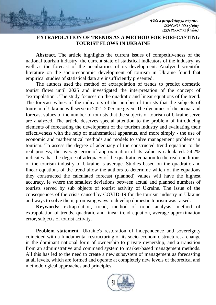#### **EXTRAPOLATION OF TRENDS AS A METHOD FOR FORECASTING TOURIST FLOWS IN UKRAINE**

**Abstract.** The article highlights the current issues of competitiveness of the national tourism industry, the current state of statistical indicators of the industry, as well as the forecast of the peculiarities of its development. Analyzed scientific literature on the socio-economic development of tourism in Ukraine found that empirical studies of statistical data are insufficiently presented.

The authors used the method of extrapolation of trends to predict domestic tourist flows until 2025 and investigated the interpretation of the concept of "extrapolation". The study focuses on the quadratic and linear equations of the trend. The forecast values of the indicators of the number of tourists that the subjects of tourism of Ukraine will serve in 2021-2025 are given. The dynamics of the actual and forecast values of the number of tourists that the subjects of tourism of Ukraine serve are analyzed. The article deserves special attention to the problem of introducing elements of forecasting the development of the tourism industry and evaluating their effectiveness with the help of mathematical apparatus, and more simply - the use of economic and mathematical methods and models to solve management problems in tourism. To assess the degree of adequacy of the constructed trend equation to the real process, the average error of approximation of its value is calculated. 24.2% indicates that the degree of adequacy of the quadratic equation to the real conditions of the tourism industry of Ukraine is average. Studies based on the quadratic and linear equations of the trend allow the authors to determine which of the equations they constructed the calculated forecast (planned) values will have the highest accuracy, ie where the smallest deviations between actual and planned numbers of tourists served by sub objects of tourist activity of Ukraine. The issue of the consequences of the crisis caused by COVID-19 for the tourism industry in Ukraine and ways to solve them, promising ways to develop domestic tourism was raised.

**Keywords:** extrapolation, trend, method of trend analysis, method of extrapolation of trends, quadratic and linear trend equation, average approximation error, subjects of tourist activity.

**Problem statement.** Ukraine's restoration of independence and sovereignty coincided with a fundamental restructuring of its socio-economic structure, a change in the dominant national form of ownership to private ownership, and a transition from an administrative and command system to market-based management methods. All this has led to the need to create a new subsystem of management as forecasting at all levels, which are formed and operate at completely new levels of theoretical and methodological approaches and principles.

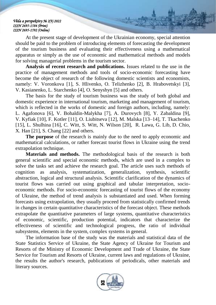At the present stage of development of the Ukrainian economy, special attention should be paid to the problem of introducing elements of forecasting the development of the tourism business and evaluating their effectiveness using a mathematical apparatus or simply as the use of economic and mathematical methods and models for solving managerial problems in the tourism sector.

**Analysis of recent research and publications.** Issues related to the use in the practice of management methods and tools of socio-economic forecasting have become the object of research of the following domestic scientists and economists, namely: V. Voronkova [1], S. Hlivenko, O. Telizhenko [2], B. Hrabovetskyi [3], V. Kasianenko, L. Starchenko [4], O. Senyshyn [5] and others.

The basis for the study of tourism business was the study of both global and domestic experience in international tourism, marketing and management of tourism, which is reflected in the works of domestic and foreign authors, including, namely: L. Agafonova [6], V. Bohaldin-Malykha [7], A. Durovych [8], Y. Zabaldina [9], V. Kyfiak [10], F. Kotler [11], O. Liubitseva [12], M. Malska [13–14], T. Tkachenko [15], L. Shulhina [16], C. Witt, S. Witt, N. Wilson [20], R. Lawa, G. Lib, D. Chio, X. Han [21], S. Chang [22] and others.

**The purpose** of the research is mainly due to the need to apply economic and mathematical calculations, or rather forecast tourist flows in Ukraine using the trend extrapolation technique.

**Materials and methods.** The methodological basis of the research is both general scientific and special economic methods, which are used in a complex to solve the tasks set and achieve the research goal. The article uses such methods of cognition as analysis, systematization, generalization, synthesis, scientific abstraction, logical and structural analysis. Scientific clarification of the dynamics of tourist flows was carried out using graphical and tabular interpretation, socioeconomic methods. For socio-economic forecasting of tourist flows of the economy of Ukraine, the method of trend analysis is substantiated and used. When forming forecasts using extrapolation, they usually proceed from statistically confirmed trends in changes in certain quantitative characteristics of the forecast object. These methods extrapolate the quantitative parameters of large systems, quantitative characteristics of economic, scientific, production potential, indicators that characterize the effectiveness of scientific and technological progress, the ratio of individual subsystems, elements in the system, complex systems in general.

The information base of the study was the materials and statistical data of the State Statistics Service of Ukraine, the State Agency of Ukraine for Tourism and Resorts of the Ministry of Economic Development and Trade of Ukraine, the State Service for Tourism and Resorts of Ukraine, current laws and regulations of Ukraine, the results the author's research, publications of periodicals, other materials and literary sources.

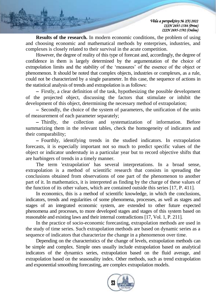**Results of the research.** In modern economic conditions, the problem of using and choosing economic and mathematical methods by enterprises, industries, and complexes is closely related to their survival in the acute competition.

However, the degree of reality of this type of forecast and, accordingly, the degree of confidence in them is largely determined by the argumentation of the choice of extrapolation limits and the stability of the 'measures' of the essence of the object or phenomenon. It should be noted that complex objects, industries or complexes, as a rule, could not be characterized by a single parameter. In this case, the sequence of actions in the statistical analysis of trends and extrapolation is as follows:

 Firstly, a clear definition of the task, hypothesizing the possible development of the projected object, discussing the factors that stimulate or inhibit the development of this object, determining the necessary method of extrapolation;

 Secondly, the choice of the system of parameters, the unification of the units of measurement of each parameter separately;

 Thirdly, the collection and systematization of information. Before summarizing them in the relevant tables, check the homogeneity of indicators and their comparability;

 Fourthly, identifying trends in the studied indicators. In extrapolation forecasts, it is especially important not so much to predict specific values of the object or indicator understudy in a particular year but to record objective shifts that are harbingers of trends in a timely manner.

The term 'extrapolation' has several interpretations. In a broad sense, extrapolation is a method of scientific research that consists in spreading the conclusions obtained from observations of one part of the phenomenon to another part of it. In mathematics, it is interpreted as finding by the charge of these values of the function of its other values, which are contained outside this series [17, P. 411].

In economics, this is a method of scientific knowledge, in which the conclusions, indicators, trends and regularities of some phenomena, processes, as well as stages and stages of an integrated economic system, are extended to other future expected phenomena and processes, to more developed stages and stages of this system based on reasonable and existing laws and their internal contradictions [17, Vol. 1, P. 211].

In the practice of socio-economic forecasting, extrapolation methods are used in the study of time series. Such extrapolation methods are based on dynamic series as a sequence of indicators that characterize the change in a phenomenon over time.

Depending on the characteristics of the change of levels, extrapolation methods can be simple and complex. Simple ones usually include extrapolation based on analytical indicators of the dynamics series, extrapolation based on the fluid average, and extrapolation based on the seasonality index. Other methods, such as trend extrapolation and exponential smoothing forecasting, are complex extrapolation models.

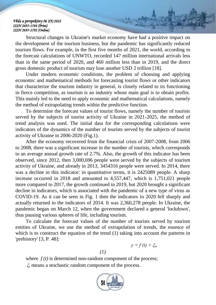Structural changes in Ukraine's market economy have had a positive impact on the development of the tourism business, but the pandemic has significantly reduced tourism flows. For example, in the first five months of 2021, the world, according to the forecast calculations of UNWTO, recorded 147 million international arrivals less than in the same period of 2020, and 460 million less than in 2019, and the direct gross domestic product of tourism may lose another USD 2 trillion [18].

Under modern economic conditions, the problem of choosing and applying economic and mathematical methods for forecasting tourist flows or other indicators that characterize the tourism industry in general, is closely related to its functioning in fierce competition, as tourism is an industry whose main goal is to obtain profits. This mainly led to the need to apply economic and mathematical calculations, namely the method of extrapolating trends within the predictive function.

To determine the forecast values of tourist flows, namely the number of tourists served by the subjects of tourist activity of Ukraine in 2021-2025, the method of trend analysis was used. The initial data for the corresponding calculations were indicators of the dynamics of the number of tourists served by the subjects of tourist activity of Ukraine in 2006-2020 (Fig.1).

After the economy recovered from the financial crisis of 2007-2008, from 2006 to 2008, there was a significant increase in the number of tourists, which corresponds to an average annual growth rate of 2.7%. Also, the growth of this indicator has been observed, since 2012, then 3,000,696 people were served by the subjects of tourism activity of Ukraine, and already in 2013, 3454316 people were served. In 2014, there was a decline in this indicator: in quantitative terms, it is 2425089 people. A sharp increase occurred in 2018 and amounted to 4,557,447, which is 1,751,021 people more compared to 2017, the growth continued in 2019, but 2020 brought a significant decline in indicators, which is associated with the pandemic of a new type of virus as COVID-19. As it can be seen in Fig. 1 then the indicators in 2020 fell sharply and actually returned to the indicators of 2014. It was 2,360,278 people. In Ukraine, the pandemic began on March 12, when the government declared a general 'lockdown', thus pausing various spheres of life, including tourism.

To calculate the forecast values of the number of tourists served by tourism entities of Ukraine, we use the method of extrapolation of trends, the essence of which is to construct the equation of the trend (1) taking into account the patterns in 'prehistory' [3, P. 48]:

$$
y = f(t) + \xi_b
$$

*(1)* 

where  $f(t)$  is determined non-random component of the process; *ξ<sup>t</sup>* means a stochastic random component of the process.

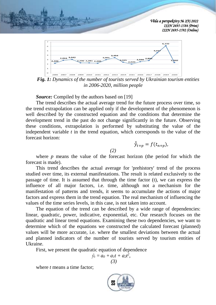



*Fig. 1: Dynamics of the number of tourists served by Ukrainian tourism entities in 2006-2020, million people*

*Source:* Compiled by the authors based on [19]

The trend describes the actual average trend for the future process over time, so the trend extrapolation can be applied only if the development of the phenomenon is well described by the constructed equation and the conditions that determine the development trend in the past do not change significantly in the future. Observing these conditions, extrapolation is performed by substituting the value of the independent variable *t* in the trend equation, which corresponds to the value of the forecast horizon:

 $\hat{\hat{y}}_{t+p} = f(t_{n+p}),$ 

where  $p$  means the value of the forecast horizon (the period for which the forecast is made).

*(2)* 

This trend describes the actual average for 'prehistory' trend of the process studied over time, its external manifestations. The result is related exclusively to the passage of time. It is assumed that through the time factor (t), we can express the influence of all major factors, i.e. time, although not a mechanism for the manifestation of patterns and trends, it seems to accumulate the actions of major factors and express them in the trend equation. The real mechanism of influencing the values of the time series levels, in this case, is not taken into account.

The equation of the trend can be described by a wide range of dependencies: linear, quadratic, power, indicative, exponential, etc. Our research focuses on the quadratic and linear trend equations. Examining these two dependencies, we want to determine which of the equations we constructed the calculated forecast (planned) values will be more accurate, i.e. where the smallest deviations between the actual and planned indicators of the number of tourists served by tourism entities of Ukraine.

First, we present the quadratic equation of dependence

$$
\hat{y}_t = a_0 + a_1t + a_2t^2, \quad (3)
$$

where *t* means a time factor;

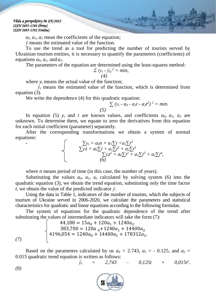$a_0$ ,  $a_1$ ,  $a_2$  mean the coefficients of the equation;

 $\hat{v}$  means the estimated value of the function.

To use the trend as a tool for predicting the number of tourists served by Ukrainian tourism entities, it is necessary to quantify the parameters (coefficients) of equations  $a_0$ ,  $a_1$ , and  $a_2$ .

The parameters of the equation are determined using the least-squares method:

$$
\sum (y_t - \hat{y}_t)^2 = min, \tag{4}
$$

where  $v_t$  means the actual value of the function:

 $\hat{y}_t$  means the estimated value of the function, which is determined from equation (3).

We write the dependence (4) for this quadratic equation:

$$
\sum (y_t - a_0 - a_1t - a_2t^2)^2 = \text{min.}
$$

In equation (5)  $y_t$  and *t* are known values, and coefficients  $a_0$ ,  $a_1$ ,  $a_2$  are unknown. To determine them, we equate to zero the derivatives from this equation for each initial coefficient (parameter) separately.

After the corresponding transformations we obtain a system of normal equations:

-
$$
\sum y_t = a_0 n + a_1 \sum t + a_2 \sum t^2 \n\sum y_t t = a_0 \sum t + a_1 \sum t^2 + a_2 \sum t^3 \n\sum y_t t^2 = a_0 \sum t^2 + a_1 \sum t^3 + a_2 \sum t^4,
$$
\n(6)

where *n* means period of time (in this case, the number of years).

Substituting the values  $a_0$ ,  $a_1$ ,  $a_2$  calculated by solving system (6) into the quadratic equation (3), we obtain the trend equation, substituting only the time factor *t,* we obtain the value of the predicted indicator *ŷ*.

Using the data in Table 1, indicators of the number of tourists, which the subjects of tourism of Ukraine served in 2006-2020, we calculate the parameters and statistical characteristics for quadratic and linear equations according to the following formulas.

The system of equations for the quadratic dependence of the trend after substituting the values of intermediate indicators will take the form (7):

 $44,188 = 15a_0 + 120a_1 + 1240a_2$ 383,700 = 120 $a_{0}$ +1240 $a_{1}$  + 14400 $a_{2}$  $4196,054 = 1240a_0 + 14400a_1 + 178312a_2.$ *(7)*

Based on the parameters calculated by us  $a_0 = 2.743$ ,  $a_1 = -0.125$ , and  $a_2 =$ 0.015 quadratic trend equation is written as follows:

$$
\hat{y}_t = 2{,}743 - 0{,}125t + 0{,}015t^2.
$$

*(8)*

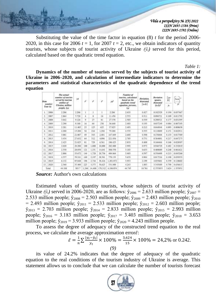

Substituting the value of the time factor in equation (8) *t* for the period 2006- 2020, in this case for 2006  $t = 1$ , for 2007  $t = 2$ , etc., we obtain indicators of quantity tourists, whose subjects of tourist activity of Ukraine  $(\hat{y}_t)$  served for this period, calculated based on the quadratic trend equation.

*Table 1:* 

**Dynamics of the number of tourists served by the subjects of tourist activity of Ukraine in 2006–2020, and calculation of intermediate indicators to determine the parameters and statistical characteristics of the quadratic dependence of the trend equation**

| <b>Treas</b><br><b>ARRIVE</b><br>Year (i) |       | The ecosy<br>mandat of fearbox<br>served by towrism<br>cumities of | w      | ë.    | v.     | $\mathcal{C}^{\mathcal{C}}$ | w         | Number of<br>iourists, calculated<br>based on the<br>ancératic tenul | Deviation.<br>diversared.<br>$r-h$ | <b>Devietion</b><br><b>SAVING</b><br>skousiend<br>ovisi | 芥<br>- Te<br>00. | G<br>ومندد<br>$\mathcal{F}$ |
|-------------------------------------------|-------|--------------------------------------------------------------------|--------|-------|--------|-----------------------------|-----------|----------------------------------------------------------------------|------------------------------------|---------------------------------------------------------|------------------|-----------------------------|
|                                           |       | <b>Ukraine</b> , million<br>respic (r.)                            |        |       |        |                             |           | equation, persons,<br>64                                             |                                    |                                                         |                  |                             |
| L                                         | 2006  | 2.206                                                              | 2.206  | ĩ.    |        |                             | 2.206     | 2,633                                                                | 0.427                              | 0.142329                                                | 0.194            | 0.837467                    |
| z                                         | 2007  | 2,864                                                              | 5.728  | ı     | ĸ      | 16                          | 11/156    | 2,583                                                                | 0.311                              | 0.096721                                                | 0.109            | 0.011792                    |
| T.                                        | 2005  | 1.047                                                              | 9.126  | o     | 11     | 91                          | 27.378    | 2.503                                                                | 0.539                              | 0.240521                                                | 0.177            | 0.031395                    |
| A.                                        | 2009  | 1.260                                                              | 0.160  | 16    | 64     | 256                         | 36.640    | 2.483                                                                | B.193                              | 0.037240                                                | 0.084            | 0.007163                    |
| 至                                         | 2010  | 2.281                                                              | 11.405 | 25    | 125    | 625                         | 57.025    | 2.493                                                                | 0.212                              | 0.0449-04                                               | 0.093            | 0.006638                    |
| ù.                                        | 2011  | 1.288                                                              | 11.200 | 34    | 210    | 1.296                       | 79.308    | 2.533                                                                | 6,333                              | D.110839                                                | 0.151            | 0.022911                    |
| 7.                                        | 3012  | 3.001                                                              | 23.007 | 49    | 343    | 2,401                       | 147.049   | 2,603                                                                | 0.398                              | 0.158404                                                | 0.133            | 0.017589                    |
| 8.                                        | 2013  | 3.454                                                              | 27.632 | 64    | 312    | 4,096                       | 221.056   | 2.703                                                                | 0.751                              | 0.564001                                                | 0.217            | 0.047275                    |
| 9.                                        | 2014  | 2.425                                                              | 21.825 | N1    | 729    | 6.561                       | 196.425   | 2.833                                                                | 0.006                              | 0.146464                                                | 0.168            | 0.028307                    |
| 18.                                       | 2015  | $2.030 -$                                                          | 20.200 | 100   | 1,000  | 18,000                      | 202.000   | 2.993                                                                | 0.971                              | 0.946729                                                | 8.882            | 0.233939                    |
| 11.                                       | 2016  | 2.550.                                                             | 28.056 | 121   | 1,331  | 54,641                      | 308,550   | 3.383                                                                | 0.633                              | 0.400688                                                | 0.248            | 0.063621                    |
| 12.                                       | 2017  | 2.806                                                              | 33.672 | 144   | 1,728  | 26,736                      | 404 564   | 3.403                                                                | 0.597                              | 0.356409                                                | $+213$           | 0.045266                    |
| 13.                                       | 2013  | 4,997                                                              | 50.311 | 1 cm  | 2,197  | 28,581                      | 770.133   | 1,633                                                                | <b>B.90d</b>                       | <b>BSITH6</b>                                           | 0.108            | 0.030551                    |
| 34.                                       | 2019  | 6.132                                                              | 85,848 | 196   | 2,744  | 38,816                      | 1,201.872 | 1.933                                                                | 1199                               | 4.835601                                                | 0.359            | 0.128602                    |
| 15.                                       | 2020  | 2,360                                                              | 35:800 | 225   | 3,375  | 59,625                      | 531,000   | 4:243:                                                               | 1.883                              | 3:545689                                                | 4.798            | 0.636615                    |
|                                           | Total | 44.188                                                             | 583.7  | 1.240 | 14,400 | 178.312                     | 4.196.054 | 44.745                                                               | 10.761                             | 12.553855                                               | 3.624            | 1.359951                    |

*Source:* Author's own calculations

Estimated values of quantity tourists, whose subjects of tourist activity of Ukraine  $(\hat{v}_t)$  served in 2006-2020, are as follows:  $\hat{v}_{2006} = 2.633$  million people;  $\hat{v}_{2007} =$ 2.533 million people;  $\hat{y}_{2008} = 2.503$  million people;  $\hat{y}_{2009} = 2.483$  million people;  $\hat{y}_{2010}$ = 2.493 million people;  $\hat{y}_{2011}$  = 2.533 million people;  $\hat{y}_{2012}$  = 2.603 million people;  $\hat{y}_{2013} = 2.703$  million people;  $\hat{y}_{2014} = 2.833$  million people;  $\hat{y}_{2015} = 2.993$  million people;  $\hat{y}_{2016} = 3.183$  million people;  $\hat{y}_{2017} = 3.403$  million people;  $\hat{y}_{2018} = 3.653$ million people;  $\hat{y}_{2019} = 3.933$  million people;  $\hat{y}_{2020} = 4.243$  million people.

To assess the degree of adequacy of the constructed trend equation to the real process, we calculate the average approximation error $\bar{\varepsilon}$ :

$$
\bar{\varepsilon} = \frac{1}{n} \sum \frac{|y_t - \hat{y}_t|}{y_t} \times 100\% = \frac{3.624}{15} \times 100\% = 24.2\% \text{ or } 0.242.
$$
\n(9)

its value of 24.2% indicates that the degree of adequacy of the quadratic equation to the real conditions of the tourism industry of Ukraine is average. This statement allows us to conclude that we can calculate the number of tourists forecast

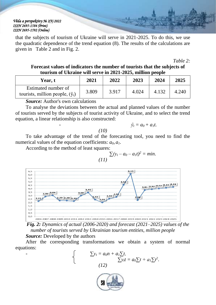that the subjects of tourism of Ukraine will serve in 2021-2025. To do this, we use the quadratic dependence of the trend equation (8). The results of the calculations are given in Table 2 and in Fig. 2.

*Table 2:* 

#### **Forecast values of indicators the number of tourists that the subjects of tourism of Ukraine will serve in 2021-2025, million people**

| <b>Year, t</b>                                                 | 2021  | 2022  | 2023  | 2024  | 2025  |
|----------------------------------------------------------------|-------|-------|-------|-------|-------|
| Estimated number of<br>tourists, million people, $(\hat{y}_t)$ | 3.809 | 3.917 | 4.024 | 4.132 | 4.240 |

*Source:* Author's own calculations

To analyse the deviations between the actual and planned values of the number of tourists served by the subjects of tourist activity of Ukraine, and to select the trend equation, a linear relationship is also constructed:

$$
\hat{y}_t = a_0 + a_1 t.
$$

*(10)*

To take advantage of the trend of the forecasting tool, you need to find the numerical values of the equation coefficients: *a0, a1*.

According to the method of least squares:

$$
\sum(y_t - a_0 - a_1t)^2 = \min.
$$
 (11)



*Fig. 2: Dynamics of actual (2006-2020) and forecast (2021–2025) values of the number of tourists served by Ukrainian tourism entities, million people*

#### *Source:* Developed by the authors

After the corresponding transformations we obtain a system of normal equations:



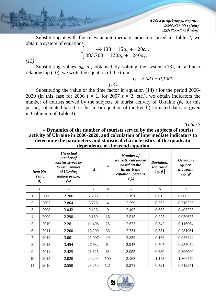Substituting it with the relevant intermediate indicators listed in Table 2, we obtain a system of equations:

$$
\begin{cases}\n44,188 = 15a_0 + 120a_1, \\
383,700 = 120a_0 + 1240a_1.\n\end{cases}
$$

*(13)*

Substituting values  $a_0$ ,  $a_1$ , obtained by solving the system (13), in a linear relationship (10), we write the equation of the trend:

*(14)*

 $\hat{v}_t = 2.083 + 0.108t$ .

Substituting the value of the time factor in equation  $(14)$  *t* for the period 2006-2020 (in this case for 2006  $t = 1$ , for 2007  $t = 2$ , etc.), we obtain indicators the number of tourists served by the subjects of tourist activity of Ukraine  $(\hat{y}_t)$  for this period, calculated based on the linear equation of the trend (estimated data are given in Column 5 of Table 3).

- *Table 3*

- **Dynamics of the number of tourists served by the subjects of tourist activity of Ukraine in 2006-2020, and calculation of intermediate indicators to determine the parameters and statistical characteristics of the quadratic dependence of the trend equation**

| Item No.<br>Year,<br>(t) |      | The actual<br>number of<br>tourists served by<br>tourism entities<br>of Ukraine,<br>million people,<br>$(y_t)$ | $y_t t$        | $t^2$          | <b>Number of</b><br>tourists, calculated<br>based on the<br>linear trend<br>equation, persons<br>$(\hat{y}_t)$ | Deviation,<br>thousand<br>$ y_t \hat{y}_t $ | <b>Deviation</b><br>square,<br>thousand<br>$(y_r \hat{y}_t)^2$ |
|--------------------------|------|----------------------------------------------------------------------------------------------------------------|----------------|----------------|----------------------------------------------------------------------------------------------------------------|---------------------------------------------|----------------------------------------------------------------|
| 1                        |      | $\overline{2}$                                                                                                 | $\mathfrak{Z}$ | $\overline{4}$ | 5                                                                                                              | 6                                           | $\overline{7}$                                                 |
| 1.                       | 2006 | 2.206                                                                                                          | 2.206          | $\mathbf{1}$   | 2.191                                                                                                          | 0.015                                       | 0.000225                                                       |
| 2.                       | 2007 | 2.864                                                                                                          | 5.728          | $\overline{4}$ | 2,299                                                                                                          | 0.565                                       | 0.319225                                                       |
| 3.                       | 2008 | 3.042                                                                                                          | 9.126          | 9              | 2.407                                                                                                          | 0.635                                       | 0.403225                                                       |
| 4.                       | 2009 | 2.290                                                                                                          | 9.160          | 16             | 2.515                                                                                                          | 0.225                                       | 0.050625                                                       |
| 5.                       | 2010 | 2.281                                                                                                          | 11.405         | 25             | 2.623                                                                                                          | 0.342                                       | 0.116964                                                       |
| 6.                       | 2011 | 2.200                                                                                                          | 13.200         | 36             | 2.731                                                                                                          | 0.531                                       | 0.281961                                                       |
| 7.                       | 2012 | 3.001                                                                                                          | 21.007         | 49             | 2.839                                                                                                          | 0.162                                       | 0.026244                                                       |
| 8.                       | 2013 | 3.454                                                                                                          | 27.632         | 64             | 2.947                                                                                                          | 0.507                                       | 0.257049                                                       |
| 9.                       | 2014 | 2.425                                                                                                          | 21.825         | 81             | 3.055                                                                                                          | 0.630                                       | 0.396900                                                       |
| 10.                      | 2015 | 2.020                                                                                                          | 20.200         | 100            | 3.163                                                                                                          | 1.143                                       | 1.306449                                                       |
| 2016<br>11.              |      | 2.550                                                                                                          | 28.050         | 121            | 3.271                                                                                                          | 0.721                                       | 0.519841                                                       |

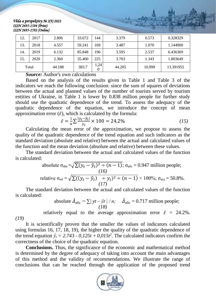| 12.   | 2017 | 2.806  | 33.672 | 144       | 3.379  | 0.573  | 0.328329  |
|-------|------|--------|--------|-----------|--------|--------|-----------|
| 13.   | 2018 | 4.557  | 59.241 | 169       | 3.487  | 1.070  | 1.144900  |
| 14.   | 2019 | 6.132  | 85.848 | 196       | 3.595  | 2.537  | 6.436369  |
| 15.   | 2020 | 2.360  | 35.400 | 225       | 3.703  | 1.343  | 1.803649  |
| Total |      | 44.188 | 383.7  | 1,24<br>0 | 44.205 | 10.999 | 13.391955 |

*Source:* Author's own calculations

Based on the analysis of the results given in Table 1 and Table 3 of the indicators we reach the following conclusion: since the sum of squares of deviations between the actual and planned values of the number of tourists served by tourism entities of Ukraine, in Table 1 is lower by 0.838 million people for further study should use the quadratic dependence of the trend. To assess the adequacy of the quadratic dependence of the equation, we introduce the concept of mean approximation error  $(\bar{\varepsilon})$ , which is calculated by the formula:

$$
\bar{\varepsilon} = \frac{1}{n} \sum \frac{|y_t - \hat{y}_t|}{y_t} \times 100 = 24{,}2\%
$$
 (15)

Calculating the mean error of the approximation, we propose to assess the quality of the quadratic dependence of the trend equation and such indicators as the standard deviation (absolute and relative) between the actual and calculated values of the function and the mean deviation (absolute and relative) between these values.

The standard deviation between the actual and calculated values of the function is calculated:

absolute 
$$
\sigma_{\text{abs}} = \sqrt{\sum (y_t - \hat{y}_t)^2 \div (n-1)}
$$
;  $\sigma_{\text{afoc}} = 0.947$  million people;  
\n(*16*)  
\nrelative  $\sigma_{\text{rel}} = \sqrt{\sum ((y_t - \hat{y}_t) \div (y_t))^2 \div (n-1)} \times 100\%$ ;  $\sigma_{\text{big}} = 50.8\%$ .

The standard deviation between the actual and calculated values of the function is calculated:

absolute 
$$
\bar{\Delta}_{a\bar{b}c} = \sum |yt - \hat{y}t| / n
$$
;  $\bar{\Delta}_{a\bar{b}c} = 0.717$  million people; (18)

relatively equal to the average approximation error  $\bar{\varepsilon}$  = 24.2%.

*(19)*

It is scientifically proven that the smaller the values of indicators calculated using formulas 16, 17, 18, 19), the higher the quality of the quadratic dependence of the trend equation  $\hat{y}_t = 2.743 - 0.125t + 0.015t^2$ . The calculated indicators confirm the correctness of the choice of the quadratic equation.

**Conclusions.** Thus, the significance of the economic and mathematical method is determined by the degree of adequacy of taking into account the main advantages of this method and the validity of recommendations. We illustrate the range of conclusions that can be reached through the application of the proposed trend

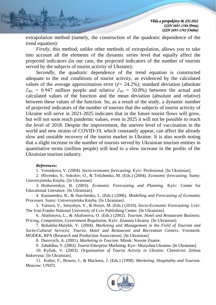extrapolation method (namely, the construction of the quadratic dependence of the trend equation):

*Firstly,* this method, unlike other methods of extrapolation, allows you to take into account all the elements of the dynamic series level that equally affect the projected indicators (in our case, the projected indicators of the number of tourists served by the subjects of tourist activity of Ukraine);

*Secondly*, the quadratic dependence of the trend equation is constructed adequate to the real conditions of tourist activity, as evidenced by the calculated values of the average approximation error ( $\bar{\varepsilon}$  = 24.2%); standard deviation (absolute  $\hat{\sigma}_{\text{abs}}$  = 0.947 million people and relative  $\hat{\sigma}_{\text{rel}}$  = 50.8%) between the actual and calculated values of the function and the mean deviation (absolute and relative) between these values of the function. So, as a result of the study, a dynamic number of projected indicators of the number of tourists that the subjects of tourist activity of Ukraine will serve in 2021-2025 indicates that in the future tourist flows will grow, but will not soon reach pandemic values, even in 2025 it will not be possible to reach the level of 2018. Despite the improvement, the uneven level of vaccination in the world and new strains of COVID-19, which constantly appear, can affect the already slow and unstable recovery of the tourist market in Ukraine. It is also worth noting that a slight increase in the number of tourists served by Ukrainian tourism entities in quantitative terms (million people) will lead to a slow increase in the profits of the Ukrainian tourism industry.

#### *References:*

1. Voronkova, V. (2004). *Socio-economic forecasting*. Кyiv: Profesional. [In Ukrainian].

2. Hlivenko, S., Sokolov, O., & Telizhenko, M. (Eds.) (2004). *Economic forecasting*. Sumy: Universytetska Knyha. [In Ukrainian].

3. Hrabovetskyi, B. (2003). *Economic Forecasting and Planning*. Kyiv: Center for Educational Literature. [In Ukrainian].

4. Kasianenko, B., & Starchenko, L. (Eds.) (2006). *Modelling and Forecasting of Economic Processes*. Sumy: Universytetska Knyha. [In Ukrainian].

5. Yatsura, V., Senyshyn, V., & Horyn, M. (Eds.) (2010). *Socio-Economic Forecasting*. Lviv: The Ivan Franko National University of Lviv Publishing Center. [In Ukrainian].

6. Ahafonova, L., & Ahafonova, O. (Eds.) (2002). *Tourism, Hotel and Restaurant Business: Pricing, Competition, Government Regulation*. Kyiv: Znannia Ukrainy. [In Ukrainian].

7. Bohaldin-Malykh, V. (2004). *Marketing and Management in the Field of Tourism and Socio-Cultural Services: Tourist, Hotel and Restaurant and Recreation Centers*. Voronezh: MODEK, RPA (Research and Production Association). [In Ukrainian].

8. Durovych, A. (2001). *Marketing in Tourism*. Minsk: Novoie Znanie.

9. Zabaldina, Y. (2002). *Tourist Enterprise Marketing*. Кyiv: Muzychna Ukraiina. [In Ukrainian].

10. Kyfiak, V. (2003). *Organization of Tourist Activity in Ukraine*. Chernivtsi: Zelena Bukovyna. [In Ukrainian].

11. Kotler, F., Bowen, J., & Mackenz, J. (Eds.) (1998). *Marketing. Hospitality and Tourism*. Moscow: UNITI.

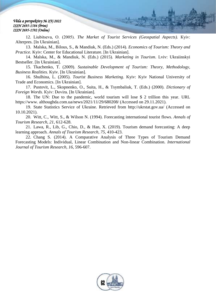12. Liubitseva, О. (2005). *The Market of Tourist Services (Geospatial Aspects).* Кyiv: Alterpres. [In Ukrainian].

13. Malska, M., Bilous, S., & Mandiuk, N. (Eds.) (2014). *Economics of Tourism: Theory and Practice.* Kyiv: Center for Educational Literature. [In Ukrainian].

14. Malska, M., & Mandiuk, N. (Eds.) (2015). *Marketing in Tourism*. Lviv: Ukraiinskyi Bestseller. [In Ukrainian].

15. Tkachenko, T. (2009). *Sustainable Development of Tourism: Theory, Methodology, Business Realities.* Kyiv. [In Ukrainian].

16. Shulhina, L. (2005). *Tourist Business Marketing*. Kyiv: Kyiv National University of Trade and Economics. [In Ukrainian].

17. Pustovit, L., Skopnenko, O., Suita, H., & Tsymbaliuk, T. (Eds.) (2000). *Dictionary of Foreign Words.* Кyiv: Dovira. [In Ukrainian].

18. The UN: Due to the pandemic, world tourism will lose \$ 2 trillion this year. URL https://www. althoughda.com.ua/news/2021/11/29/680208/ (Accessed on 29.11.2021).

19. State Statistics Service of Ukraine. Retrieved from http://ukrstat.gov.ua/ (Accessed on 10.10.2021).

20. Witt, C., Witt, S., & Wilson N. (1994). Forecasting international tourist flows. *Annals of Tourism Research, 21*, 612-628.

21. Lawa, R., Lib, G., Chio, D., & Han, X. (2019). Tourism demand forecasting: A deep learning approach. *Annals of Tourism Research, 75,* 410-423.

22. Chang S. (2014). A Comparative Analysis of Three Types of Tourism Demand Forecasting Models: Individual, Linear Combination and Non-linear Combination. *International Journal of Tourism Research, 16,* 596-607.